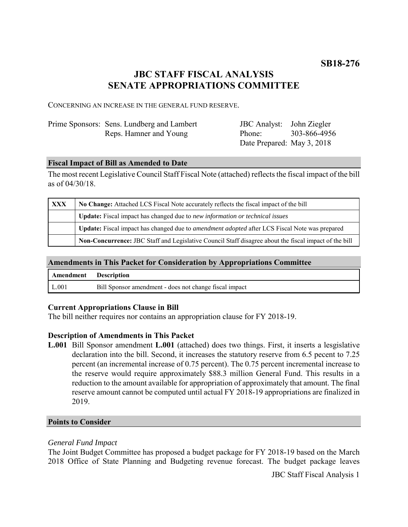# **JBC STAFF FISCAL ANALYSIS SENATE APPROPRIATIONS COMMITTEE**

CONCERNING AN INCREASE IN THE GENERAL FUND RESERVE.

| Prime Sponsors: Sens. Lundberg and Lambert | <b>JBC</b> Analyst: John Ziegler |              |
|--------------------------------------------|----------------------------------|--------------|
| Reps. Hamner and Young                     | Phone:                           | 303-866-4956 |
|                                            | Date Prepared: May 3, 2018       |              |

### **Fiscal Impact of Bill as Amended to Date**

The most recent Legislative Council Staff Fiscal Note (attached) reflects the fiscal impact of the bill as of 04/30/18.

| XXX | No Change: Attached LCS Fiscal Note accurately reflects the fiscal impact of the bill                 |  |
|-----|-------------------------------------------------------------------------------------------------------|--|
|     | Update: Fiscal impact has changed due to new information or technical issues                          |  |
|     | Update: Fiscal impact has changed due to <i>amendment adopted</i> after LCS Fiscal Note was prepared  |  |
|     | Non-Concurrence: JBC Staff and Legislative Council Staff disagree about the fiscal impact of the bill |  |

# **Amendments in This Packet for Consideration by Appropriations Committee**

| <b>Amendment</b> Description |                                                        |
|------------------------------|--------------------------------------------------------|
| L.001                        | Bill Sponsor amendment - does not change fiscal impact |

# **Current Appropriations Clause in Bill**

The bill neither requires nor contains an appropriation clause for FY 2018-19.

#### **Description of Amendments in This Packet**

**L.001** Bill Sponsor amendment **L.001** (attached) does two things. First, it inserts a lesgislative declaration into the bill. Second, it increases the statutory reserve from 6.5 pecent to 7.25 percent (an incremental increase of 0.75 percent). The 0.75 percent incremental increase to the reserve would require approximately \$88.3 million General Fund. This results in a reduction to the amount available for appropriation of approximately that amount. The final reserve amount cannot be computed until actual FY 2018-19 appropriations are finalized in 2019.

#### **Points to Consider**

# *General Fund Impact*

The Joint Budget Committee has proposed a budget package for FY 2018-19 based on the March 2018 Office of State Planning and Budgeting revenue forecast. The budget package leaves